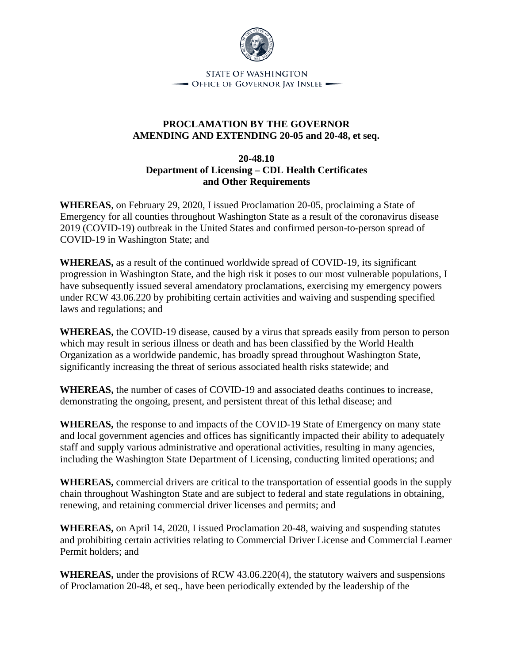

**STATE OF WASHINGTON** - OFFICE OF GOVERNOR JAY INSLEE -

## **PROCLAMATION BY THE GOVERNOR AMENDING AND EXTENDING 20-05 and 20-48, et seq.**

## **20-48.10 Department of Licensing – CDL Health Certificates and Other Requirements**

**WHEREAS**, on February 29, 2020, I issued Proclamation 20-05, proclaiming a State of Emergency for all counties throughout Washington State as a result of the coronavirus disease 2019 (COVID-19) outbreak in the United States and confirmed person-to-person spread of COVID-19 in Washington State; and

**WHEREAS,** as a result of the continued worldwide spread of COVID-19, its significant progression in Washington State, and the high risk it poses to our most vulnerable populations, I have subsequently issued several amendatory proclamations, exercising my emergency powers under RCW 43.06.220 by prohibiting certain activities and waiving and suspending specified laws and regulations; and

**WHEREAS,** the COVID-19 disease, caused by a virus that spreads easily from person to person which may result in serious illness or death and has been classified by the World Health Organization as a worldwide pandemic, has broadly spread throughout Washington State, significantly increasing the threat of serious associated health risks statewide; and

**WHEREAS,** the number of cases of COVID-19 and associated deaths continues to increase, demonstrating the ongoing, present, and persistent threat of this lethal disease; and

**WHEREAS,** the response to and impacts of the COVID-19 State of Emergency on many state and local government agencies and offices has significantly impacted their ability to adequately staff and supply various administrative and operational activities, resulting in many agencies, including the Washington State Department of Licensing, conducting limited operations; and

**WHEREAS,** commercial drivers are critical to the transportation of essential goods in the supply chain throughout Washington State and are subject to federal and state regulations in obtaining, renewing, and retaining commercial driver licenses and permits; and

**WHEREAS,** on April 14, 2020, I issued Proclamation 20-48, waiving and suspending statutes and prohibiting certain activities relating to Commercial Driver License and Commercial Learner Permit holders; and

**WHEREAS,** under the provisions of RCW 43.06.220(4), the statutory waivers and suspensions of Proclamation 20-48, et seq., have been periodically extended by the leadership of the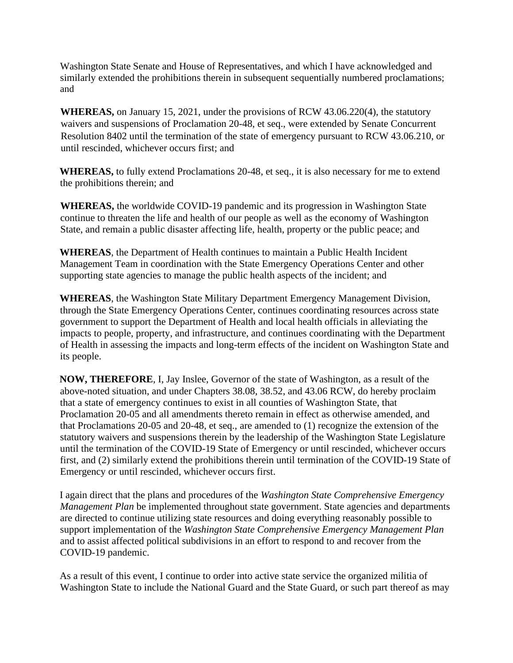Washington State Senate and House of Representatives, and which I have acknowledged and similarly extended the prohibitions therein in subsequent sequentially numbered proclamations; and

**WHEREAS,** on January 15, 2021, under the provisions of RCW 43.06.220(4), the statutory waivers and suspensions of Proclamation 20-48, et seq., were extended by Senate Concurrent Resolution 8402 until the termination of the state of emergency pursuant to RCW 43.06.210, or until rescinded, whichever occurs first; and

**WHEREAS,** to fully extend Proclamations 20-48, et seq., it is also necessary for me to extend the prohibitions therein; and

**WHEREAS,** the worldwide COVID-19 pandemic and its progression in Washington State continue to threaten the life and health of our people as well as the economy of Washington State, and remain a public disaster affecting life, health, property or the public peace; and

**WHEREAS**, the Department of Health continues to maintain a Public Health Incident Management Team in coordination with the State Emergency Operations Center and other supporting state agencies to manage the public health aspects of the incident; and

**WHEREAS**, the Washington State Military Department Emergency Management Division, through the State Emergency Operations Center, continues coordinating resources across state government to support the Department of Health and local health officials in alleviating the impacts to people, property, and infrastructure, and continues coordinating with the Department of Health in assessing the impacts and long-term effects of the incident on Washington State and its people.

**NOW, THEREFORE**, I, Jay Inslee, Governor of the state of Washington, as a result of the above-noted situation, and under Chapters 38.08, 38.52, and 43.06 RCW, do hereby proclaim that a state of emergency continues to exist in all counties of Washington State, that Proclamation 20-05 and all amendments thereto remain in effect as otherwise amended, and that Proclamations 20-05 and 20-48, et seq., are amended to (1) recognize the extension of the statutory waivers and suspensions therein by the leadership of the Washington State Legislature until the termination of the COVID-19 State of Emergency or until rescinded, whichever occurs first, and (2) similarly extend the prohibitions therein until termination of the COVID-19 State of Emergency or until rescinded, whichever occurs first.

I again direct that the plans and procedures of the *Washington State Comprehensive Emergency Management Plan* be implemented throughout state government. State agencies and departments are directed to continue utilizing state resources and doing everything reasonably possible to support implementation of the *Washington State Comprehensive Emergency Management Plan* and to assist affected political subdivisions in an effort to respond to and recover from the COVID-19 pandemic.

As a result of this event, I continue to order into active state service the organized militia of Washington State to include the National Guard and the State Guard, or such part thereof as may